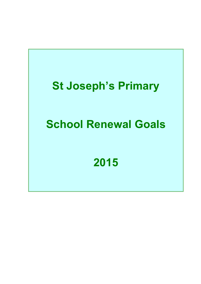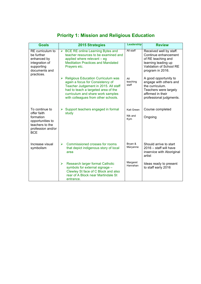| <b>Goals</b>                                                                                                         | <b>2015 Strategies</b>                                                                                                                                                                                                                        | Leadership                   | <b>Review</b>                                                                                                                               |
|----------------------------------------------------------------------------------------------------------------------|-----------------------------------------------------------------------------------------------------------------------------------------------------------------------------------------------------------------------------------------------|------------------------------|---------------------------------------------------------------------------------------------------------------------------------------------|
| RE curriculum to<br>be further<br>enhanced by<br>integration of<br>supporting<br>documents and<br>practices.         | <b>BCE RE online Learning Bytes and</b><br>$\blacktriangleright$<br>teacher resources to be examined and<br>applied where relevant - eg<br><b>Meditation Practices and Mandated</b><br>Prayers etc.                                           | All staff                    | Received well by staff.<br>Continue enhancement<br>of RE teaching and<br>learning leading up<br>Validation of School RE<br>program in 2016. |
|                                                                                                                      | <b>Religious Education Curriculum was</b><br>➤<br>again a focus for Consistency of<br>Teacher Judgement in 2015. All staff<br>had to teach a targeted area of the<br>curriculum and share work samples<br>with colleagues from other schools. | All<br>teaching<br>staff     | A good opportunity to<br>engage with others and<br>the curriculum.<br>Teachers were largely<br>affirmed in their<br>professional judgments. |
| To continue to<br>offer faith<br>formation<br>opportunities to<br>teachers to the<br>profession and/or<br><b>BCE</b> | Support teachers engaged in formal<br>➤<br>study                                                                                                                                                                                              | Kait Green<br>Nik and<br>Kym | Course completed<br>Ongoing                                                                                                                 |
| Increase visual<br>symbolism                                                                                         | Commissioned crosses for rooms<br>$\blacktriangleright$<br>that depict indigenous story of local<br>area                                                                                                                                      | Bryan &<br>Maryanne          | Should arrive to start<br>2016 - staff will have<br>inservice with Aboriginal<br>artist                                                     |
|                                                                                                                      | Research larger format Catholic<br>➤<br>symbols for external signage -<br>Clewley St face of C Block and also<br>rear of A Block near Martindale St<br>entrance.                                                                              | Margaret<br>Hanrahan         | Ideas ready to present<br>to staff early 2016                                                                                               |

# **Priority 1: Mission and Religious Education**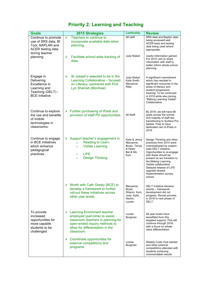## **Priority 2: Learning and Teaching**

| <b>Goals</b>                                                                                                 | 2015 Strategies                                                                                                                                                                                         | Leadership                                                                | <b>Review</b>                                                                                                                                                                                                                                                                                                                    |
|--------------------------------------------------------------------------------------------------------------|---------------------------------------------------------------------------------------------------------------------------------------------------------------------------------------------------------|---------------------------------------------------------------------------|----------------------------------------------------------------------------------------------------------------------------------------------------------------------------------------------------------------------------------------------------------------------------------------------------------------------------------|
| Continue to promote<br>use of SRS data, BI<br>Tool, NAPLAN and<br><b>ACER</b> testing data<br>during teacher | Teachers to continue to<br>$\blacktriangleright$<br>incorporate available data when<br>planning.                                                                                                        | All staff                                                                 | SRS data and Naplan data<br>being accessed well.<br><b>ACER</b> tests and testing<br>data being used where<br>appropriate.                                                                                                                                                                                                       |
| planning                                                                                                     | ➤<br>Facilitate school-wide tracking of<br>data.                                                                                                                                                        | <b>Judy Nisbet</b>                                                        | Useful information gained.<br>For 2015, aim to share<br>information with staff to<br>better inform whole-school<br>planning.                                                                                                                                                                                                     |
| Engage in<br>Delivering<br>Excellence in<br>Learning and<br>Teaching (DELT) -<br><b>BCE</b> initiative       | $\blacktriangleright$<br>St Joseph's selected to be in the<br>Learning Collaborative - focused<br>on Literacy, partnered with Prof<br>Lyn Sharratt (Montreal)                                           | <b>Judy Nisbet</b><br>Kylie Smith<br>Maryanne<br>Riley                    | A significant commitment<br>which has resulted in<br>significant outcomes in the<br>areas of literacy and<br>student progression<br>tracking. To be continued<br>in 2016 while also joining<br>"Making Learning Visible"<br>Collaborative.                                                                                       |
| Continue to explore<br>the use and benefits<br>of mobile<br>technologies in<br>classrooms.                   | $\triangleright$ Further purchasing of iPads and<br>provision of staff PD opportunities.                                                                                                                | All Staff.                                                                | By 2016, we will have 66<br>ipads across the school,<br>and majority of staff are<br>transitioning to Surface Pro<br>tablets. Prep to have<br>dedicated cart of iPads in<br>2016.                                                                                                                                                |
| Continue to engage<br>in BCE initiatives<br>which enhance<br>pedagogical<br>practices.                       | $\triangleright$ Support teacher's engagement in:<br><b>Reading to Learn</b><br>$\circ$<br><b>Visible Learning</b><br>$\circ$<br>LIFE<br>$\circ$<br><b>Design Thinking</b><br>$\circ$                   | Kylie & Jenny<br>Maryanne,<br>Bryan, Tanya<br>& Helen<br>Bel & Nik<br>Kym | Design Thinking and other<br>practices from 2014 were<br>overshadowed by system-<br>wide DELT initiative.<br>Opportunities to re-engage<br>with these should be<br>present as we transition to<br>the Making Learning<br>Visible collaborative.<br>Delayed release of LIFE<br>upgrade slowed<br>implementation across<br>school. |
|                                                                                                              | $\triangleright$ Worth with Cath Grealy (BCE) to<br>develop a framework to further<br>roll-out these initiatives across<br>other year levels                                                            | Maryanne,<br>Bryan,<br>Sharon, Kym,<br>Judy, Kylie,<br>Naomi,<br>Louise   | DELT initiative became<br>priority - framework<br>development did not<br>progress. Revisit process<br>in 2016 in next phase of<br>DELT.                                                                                                                                                                                          |
| To provide<br>increased<br>opportunities for<br>more capable<br>students to be<br>challenged                 | $\triangleright$ Learning Enrichment teacher<br>employed (part-time) to assist<br>classroom teachers in planning for<br>open-ended inquiry methods to<br>allow for differentiation in the<br>classroom. | Louise<br>Burgman                                                         | All year levels have<br>benefitted from this<br>targeted support. This will<br>continue through 2016,<br>with a focus on whole-<br>class differentiation.                                                                                                                                                                        |
|                                                                                                              | $\triangleright$ Coordinate opportunities for<br>external competitions and<br>programs                                                                                                                  | Louise<br>Burgman                                                         | Weekly Code Club started<br>and other external<br>competitions attended with<br>students achieving<br>commendable results.                                                                                                                                                                                                       |